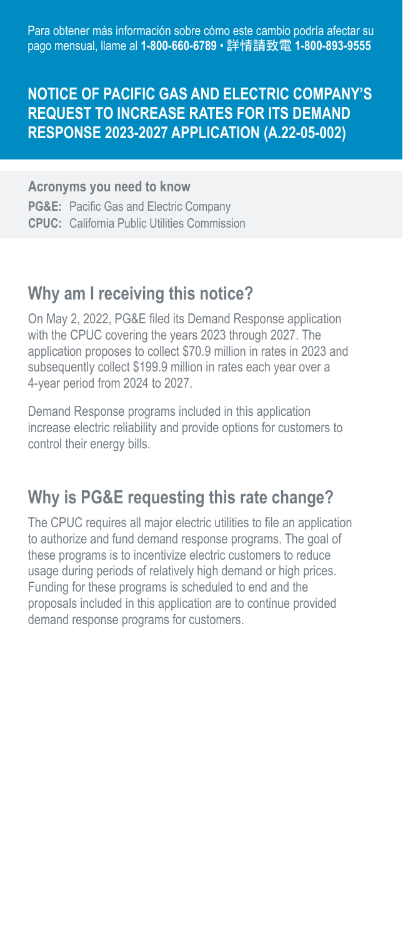Para obtener más información sobre cómo este cambio podría afectar su pago mensual, llame al **1-800-660-6789** • 詳情請致電 **1-800-893-9555** 

## **NOTICE OF PACIFIC GAS AND ELECTRIC COMPANY'S REQUEST TO INCREASE RATES FOR ITS DEMAND RESPONSE 2023-2027 APPLICATION (A.22-05-002)**

#### **Acronyms you need to know**

 **CPUC:** California Public Utilities Commission **PG&E:** Pacific Gas and Electric Company

## **Why am I receiving this notice?**

On May 2, 2022, PG&E filed its Demand Response application with the CPUC covering the years 2023 through 2027. The application proposes to collect \$70.9 million in rates in 2023 and subsequently collect \$199.9 million in rates each year over a 4-year period from 2024 to 2027.

Demand Response programs included in this application increase electric reliability and provide options for customers to control their energy bills.

## **Why is PG&E requesting this rate change?**

The CPUC requires all major electric utilities to file an application to authorize and fund demand response programs. The goal of these programs is to incentivize electric customers to reduce usage during periods of relatively high demand or high prices. Funding for these programs is scheduled to end and the proposals included in this application are to continue provided demand response programs for customers.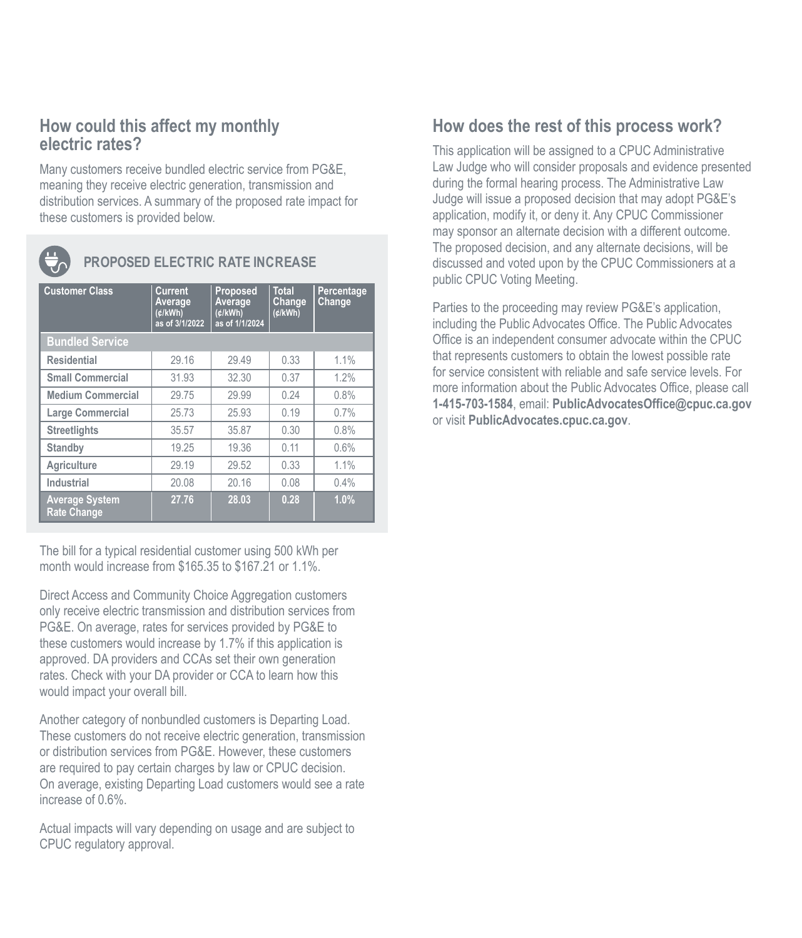## **How could this affect my monthly electric rates?**

Many customers receive bundled electric service from PG&E, meaning they receive electric generation, transmission and distribution services. A summary of the proposed rate impact for these customers is provided below.



### **PROPOSED ELECTRIC RATE INCREASE**

| <b>Customer Class</b>                       | Current<br>Average<br>(¢/kWh)<br>as of 3/1/2022 | Proposed<br>Average<br>(d/kWh)<br>as of 1/1/2024 | <b>Total</b><br>Change<br>(d/kWh) | Percentage<br>Change |
|---------------------------------------------|-------------------------------------------------|--------------------------------------------------|-----------------------------------|----------------------|
| <b>Bundled Service</b>                      |                                                 |                                                  |                                   |                      |
| <b>Residential</b>                          | 29.16                                           | 29.49                                            | 0.33                              | 1.1%                 |
| <b>Small Commercial</b>                     | 31.93                                           | 32.30                                            | 0.37                              | 1.2%                 |
| <b>Medium Commercial</b>                    | 29.75                                           | 29.99                                            | 0.24                              | 0.8%                 |
| Large Commercial                            | 25.73                                           | 25.93                                            | 0.19                              | 0.7%                 |
| <b>Streetlights</b>                         | 35.57                                           | 35.87                                            | 0.30                              | 0.8%                 |
| Standby                                     | 19.25                                           | 19.36                                            | 0.11                              | 0.6%                 |
| Agriculture                                 | 29.19                                           | 29.52                                            | 0.33                              | 1.1%                 |
| Industrial                                  | 20.08                                           | 20.16                                            | 0.08                              | 0.4%                 |
| <b>Average System</b><br><b>Rate Change</b> | 27.76                                           | 28.03                                            | 0.28                              | 1.0%                 |

The bill for a typical residential customer using 500 kWh per month would increase from \$165.35 to \$167.21 or 1.1%.

Direct Access and Community Choice Aggregation customers only receive electric transmission and distribution services from PG&E. On average, rates for services provided by PG&E to these customers would increase by 1.7% if this application is approved. DA providers and CCAs set their own generation rates. Check with your DA provider or CCA to learn how this would impact your overall bill.

Another category of nonbundled customers is Departing Load. These customers do not receive electric generation, transmission or distribution services from PG&E. However, these customers are required to pay certain charges by law or CPUC decision. On average, existing Departing Load customers would see a rate increase of 0.6%.

Actual impacts will vary depending on usage and are subject to CPUC regulatory approval.

## **How does the rest of this process work?**

This application will be assigned to a CPUC Administrative Law Judge who will consider proposals and evidence presented during the formal hearing process. The Administrative Law Judge will issue a proposed decision that may adopt PG&E's application, modify it, or deny it. Any CPUC Commissioner may sponsor an alternate decision with a different outcome. The proposed decision, and any alternate decisions, will be discussed and voted upon by the CPUC Commissioners at a public CPUC Voting Meeting.

Parties to the proceeding may review PG&E's application, including the Public Advocates Office. The Public Advocates Office is an independent consumer advocate within the CPUC that represents customers to obtain the lowest possible rate for service consistent with reliable and safe service levels. For more information about the Public Advocates Office, please call **1-415-703-1584**, email: **[PublicAdvocatesOffice@cpuc.ca.gov](mailto:PublicAdvocatesOffice@cpuc.ca.gov)**  or visit **[PublicAdvocates.cpuc.ca.gov](https://www.publicadvocates.cpuc.ca.gov/)**.